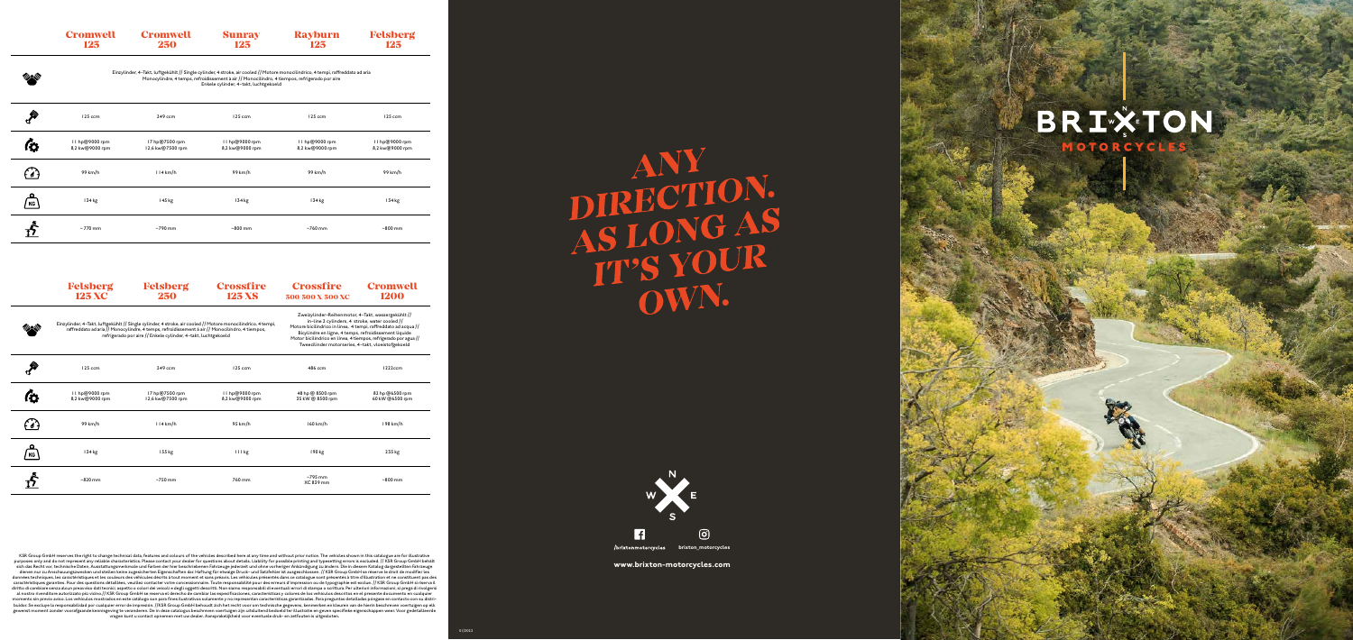**www.brixton-motorcycles.com**

KSR Group GmbH reserves the right to change technical data, features and colours of the vehicles described here at any time and without prior notice. The vehicles shown in this catalogue are for illustrative purposes only and do not represent any reliable characteristics. Please contact your dealer for questions about details. Liability for possible printing and typesetting errors is excluded. // KSR Group GmbH behält<br>sich das dienen nur zu Anschauungszwecken und stellen keine zugesicherten Eigenschaften dar. Haftung für etwaige Druck- und Satzfehler ist ausgeschlossen. // KSR Group GmbH se réserve le droit de modifier les<br>données techniques, le caractéristiques garanties. Pour des questions détaillées, veuillez contacter votre concessionnaire. Toute responsabilité pour des erreurs d'impression ou de typographie est exclue. // KSR Group GmbH si riserva il diritto gewenst moment zonder voorafgaande kennisgeving te veranderen. De in deze catalogus beschreven voertuigen zijn uitsluitend bedoeld ter illustratie en geven specifieke eigenschappen weer. Voor gedetailleerde<br>vragen kunt u c

## ANY<br> **DIRECTION.<br>
AS LONG AS<br>
IT'S YOUR<br>
OWN.**



**brixton\_motorcycles**



| <b>Cromwell</b> | <b>Cromwell</b> | <b>Sunray</b> | <b>Rayburn</b> | <b>Felsberg</b> |
|-----------------|-----------------|---------------|----------------|-----------------|
| 125             | 250             | 125           | 125            | 125             |
|                 |                 |               |                |                 |

Einzylinder, 4-Takt, luftgekühlt // Single cylinder, 4 stroke, air cooled // Motore monocilindrico, 4 tempi, raffreddato ad aria Monocylindre, 4 temps, refroidissement à air // Monocilíndro, 4 tiempos, refrigerado por aire Enkele cylinder, 4-takt, luchtgekoeld

|    | 125 ccm                           | 249 ccm                            | 125 ccm                           | 125 ccm                           | 125 ccm                           |
|----|-----------------------------------|------------------------------------|-----------------------------------|-----------------------------------|-----------------------------------|
|    | 11 hp@9000 rpm<br>8,2 kw@9000 rpm | 17 hp@7500 rpm<br>12,6 kw@7500 rpm | 11 hp@9000 rpm<br>8,2 kw@9000 rpm | 11 hp@9000 rpm<br>8,2 kw@9000 rpm | II hp@9000 rpm<br>8,2 kw@9000 rpm |
|    | 99 km/h                           | 114 km/h                           | 99 km/h                           | 99 km/h                           | 99 km/h                           |
| KG | 134 kg                            | 145 kg                             | 134 kg                            | 134 kg                            | $134$ kg                          |
|    | $\sim$ 770 mm                     | $~5$ 790 mm                        | $~800$ mm                         | $~5$ 760 mm                       | $~800$ mm                         |

|    | <b>Felsberg</b><br><b>125 XC</b>  | <b>Felsberg</b><br>250                                                                                                                                                                                                                                                           | <b>Crossfire</b><br><b>125 XS</b>                                                                                                                                                                                                                                                                                                                        | <b>Crossfire</b><br>500/500 X/500 XC | <b>Cromwell</b><br><b>1200</b>     |
|----|-----------------------------------|----------------------------------------------------------------------------------------------------------------------------------------------------------------------------------------------------------------------------------------------------------------------------------|----------------------------------------------------------------------------------------------------------------------------------------------------------------------------------------------------------------------------------------------------------------------------------------------------------------------------------------------------------|--------------------------------------|------------------------------------|
|    |                                   | Einzylinder, 4-Takt, luftgekühlt // Single cylinder, 4 stroke, air cooled // Motore monocilindrico, 4 tempi,<br>raffreddato ad aria // Monocylindre, 4 temps, refroidissement à air // Monocilíndro, 4 tiempos,<br>refrigerado por aire // Enkele cylinder, 4-takt, luchtgekoeld | Zweizylinder-Reihenmotor, 4-Takt, wassergekühlt //<br>in-line 2 cylinders, 4 stroke, water cooled //<br>Motore bicilindrico in linea, 4 tempi, raffreddato ad acqua //<br>Bicylindre en ligne, 4 temps, refroidissement liquide<br>Motor bicilíndrico en línea, 4 tiempos, refrigerado por agua //<br>Tweecilinder motorseries, 4-takt, vloeistofgekoeld |                                      |                                    |
|    | 125 ccm                           | 249 ccm                                                                                                                                                                                                                                                                          | 125 ccm                                                                                                                                                                                                                                                                                                                                                  | 486 ccm                              | 1222ccm                            |
|    | 11 hp@9000 rpm<br>8,2 kw@9000 rpm | 17 hp@7500 rpm<br>12,6 kw@7500 rpm                                                                                                                                                                                                                                               | 11 hp@9000 rpm<br>8,2 kw@9000 rpm                                                                                                                                                                                                                                                                                                                        | 48 hp @ 8500 rpm<br>35 kW @ 8500 rpm | 82 hp @6500 rpm<br>60 kW @6500 rpm |
|    | 99 km/h                           | 114 km/h                                                                                                                                                                                                                                                                         | 95 km/h                                                                                                                                                                                                                                                                                                                                                  | $160$ km/h                           | 198 km/h                           |
| ΚG | $134$ kg                          | 155 kg                                                                                                                                                                                                                                                                           | 111 kg                                                                                                                                                                                                                                                                                                                                                   | 190 kg                               | 235 kg                             |
|    | $~820$ mm                         | $~50$ mm                                                                                                                                                                                                                                                                         | 760 mm                                                                                                                                                                                                                                                                                                                                                   | $~5$ 795 mm<br>XC 839 mm             | $~500$ mm                          |